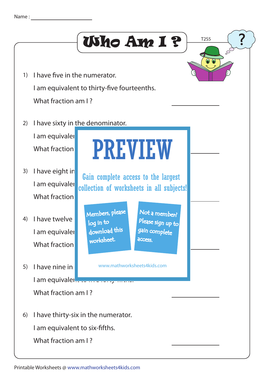